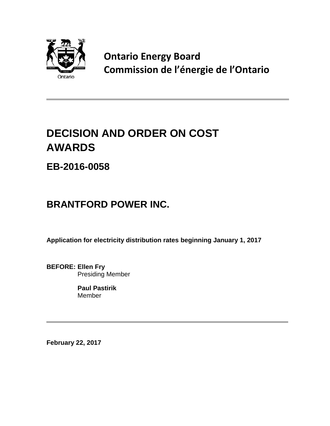

**Ontario Energy Board Commission de l'énergie de l'Ontario**

# **DECISION AND ORDER ON COST AWARDS**

**EB-2016-0058**

# **BRANTFORD POWER INC.**

**Application for electricity distribution rates beginning January 1, 2017**

**BEFORE: Ellen Fry** Presiding Member

> **Paul Pastirik** Member

**February 22, 2017**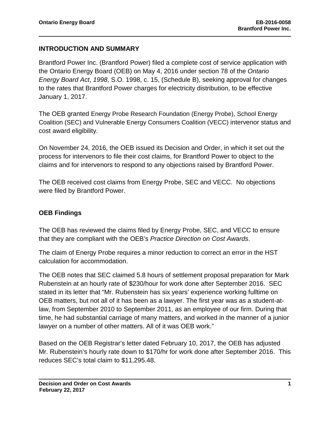#### **INTRODUCTION AND SUMMARY**

Brantford Power Inc. (Brantford Power) filed a complete cost of service application with the Ontario Energy Board (OEB) on May 4, 2016 under section 78 of the *Ontario Energy Board Act*, *1998*, S.O. 1998, c. 15, (Schedule B), seeking approval for changes to the rates that Brantford Power charges for electricity distribution, to be effective January 1, 2017.

The OEB granted Energy Probe Research Foundation (Energy Probe), School Energy Coalition (SEC) and Vulnerable Energy Consumers Coalition (VECC) intervenor status and cost award eligibility.

On November 24, 2016, the OEB issued its Decision and Order, in which it set out the process for intervenors to file their cost claims, for Brantford Power to object to the claims and for intervenors to respond to any objections raised by Brantford Power.

The OEB received cost claims from Energy Probe, SEC and VECC. No objections were filed by Brantford Power.

## **OEB Findings**

The OEB has reviewed the claims filed by Energy Probe, SEC, and VECC to ensure that they are compliant with the OEB's *Practice Direction on Cost Awards*.

The claim of Energy Probe requires a minor reduction to correct an error in the HST calculation for accommodation.

The OEB notes that SEC claimed 5.8 hours of settlement proposal preparation for Mark Rubenstein at an hourly rate of \$230/hour for work done after September 2016. SEC stated in its letter that "Mr. Rubenstein has six years' experience working fulltime on OEB matters, but not all of it has been as a lawyer. The first year was as a student-atlaw, from September 2010 to September 2011, as an employee of our firm. During that time, he had substantial carriage of many matters, and worked in the manner of a junior lawyer on a number of other matters. All of it was OEB work."

Based on the OEB Registrar's letter dated February 10, 2017, the OEB has adjusted Mr. Rubenstein's hourly rate down to \$170/hr for work done after September 2016. This reduces SEC's total claim to \$11,295.48.